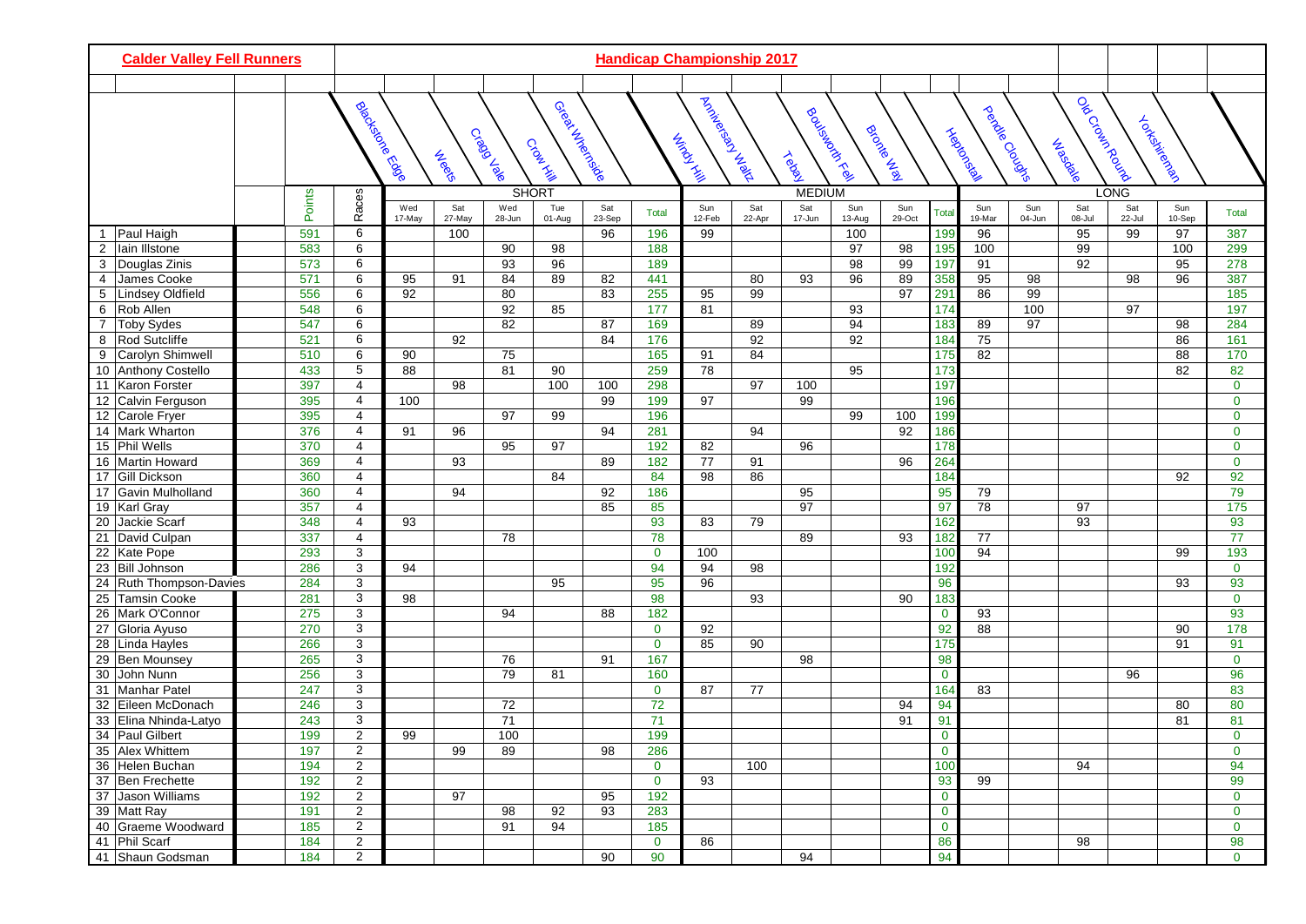| <b>Calder Valley Fell Runners</b>             |  | <b>Handicap Championship 2017</b> |                                  |               |               |               |                          |               |              |                                    |               |               |               |                 |                 |                     |                  |                                        |               |               |              |
|-----------------------------------------------|--|-----------------------------------|----------------------------------|---------------|---------------|---------------|--------------------------|---------------|--------------|------------------------------------|---------------|---------------|---------------|-----------------|-----------------|---------------------|------------------|----------------------------------------|---------------|---------------|--------------|
|                                               |  |                                   |                                  |               |               |               |                          |               |              |                                    |               |               |               |                 |                 |                     |                  |                                        |               |               |              |
|                                               |  |                                   | <b>Biochenole</b><br>Biochenole  |               | <b>Neet</b> e | Cragalave     | Geed Arections<br>Crowns |               |              | A Kickeland Band<br><b>Windows</b> |               | <b>Telah</b>  | Router Reel   | Brocked Maria   |                 | <b>Trepo</b> consil | perchange Clouse | l ob <sup>croun</sup> Round<br>Jubecke |               | Tokiekiechen  |              |
|                                               |  |                                   |                                  |               |               |               | <b>SHORT</b>             |               |              |                                    |               | <b>MEDIUM</b> |               |                 |                 |                     |                  |                                        | LONG          |               |              |
|                                               |  | Points                            | Races                            | Wed<br>17-May | Sat<br>27-May | Wed<br>28-Jun | Tue<br>01-Aug            | Sat<br>23-Sep | <b>Total</b> | Sun<br>12-Feb                      | Sat<br>22-Apr | Sat<br>17-Jun | Sun<br>13-Aug | Sun<br>29-Oct   | Tota            | Sun<br>19-Mar       | Sun<br>04-Jun    | Sat<br>08-Jul                          | Sat<br>22-Jul | Sun<br>10-Sep | <b>Total</b> |
| Paul Haigh<br>1                               |  | 591                               | 6                                |               | 100           |               |                          | 96            | 196          | 99                                 |               |               | 100           |                 | 199             | 96                  |                  | 95                                     | 99            | 97            | 387          |
| $\overline{c}$<br>Iain Illstone               |  | 583                               | 6                                |               |               | 90            | 98                       |               | 188          |                                    |               |               | 97            | 98              | 195             | 100                 |                  | 99                                     |               | 100           | 299          |
| Douglas Zinis<br>3                            |  | 573                               | 6                                |               |               | 93            | 96                       |               | 189          |                                    |               |               | 98            | 99              | 197             | 91                  |                  | 92                                     |               | 95            | 278          |
| James Cooke<br>$\overline{4}$                 |  | 571                               | 6                                | 95            | 91            | 84            | 89                       | 82            | 441          |                                    | 80            | 93            | 96            | 89              | 358             | 95                  | 98               |                                        | 98            | 96            | 387          |
| Lindsey Oldfield<br>5                         |  | 556                               | 6                                | 92            |               | 80            |                          | 83            | 255          | 95                                 | 99            |               |               | $\overline{97}$ | 29 <sup>1</sup> | 86                  | 99               |                                        |               |               | 185          |
| Rob Allen<br>6                                |  | 548                               | 6                                |               |               | 92            | 85                       |               | 177          | 81                                 |               |               | 93            |                 | 17 <sup>2</sup> |                     | 100              |                                        | 97            |               | 197          |
| Toby Sydes<br>$\overline{7}$                  |  | 547                               | 6                                |               |               | 82            |                          | 87            | 169          |                                    | 89            |               | 94            |                 | 183             | 89                  | 97               |                                        |               | 98            | 284          |
| Rod Sutcliffe<br>8                            |  | 521                               | 6                                |               | 92            |               |                          | 84            | 176          |                                    | 92            |               | 92            |                 | 184             | 75                  |                  |                                        |               | 86            | 161          |
| 9<br>Carolyn Shimwell                         |  | 510                               | 6                                | 90            |               | 75            |                          |               | 165          | 91                                 | 84            |               |               |                 | 175             | 82                  |                  |                                        |               | 88            | 170          |
| 10 Anthony Costello                           |  | 433                               | 5                                | 88            |               | 81            | 90                       |               | 259          | 78                                 |               |               | 95            |                 | 173             |                     |                  |                                        |               | 82            | 82           |
| 11 Karon Forster                              |  | 397                               | 4                                |               | 98            |               | 100                      | 100           | 298          |                                    | 97            | 100           |               |                 | 197             |                     |                  |                                        |               |               | $\mathbf 0$  |
| Calvin Ferguson<br>12                         |  | 395                               | 4                                | 100           |               |               |                          | 99            | 199          | 97                                 |               | 99            |               |                 | 196             |                     |                  |                                        |               |               | $\mathbf{0}$ |
| 12 Carole Fryer                               |  | 395                               | 4                                |               |               | 97            | 99                       |               | 196          |                                    |               |               | 99            | 100             | 199             |                     |                  |                                        |               |               | $\mathbf 0$  |
| 14 Mark Wharton                               |  | 376                               | $\overline{4}$                   | 91            | 96            |               |                          | 94            | 281          |                                    | 94            |               |               | 92              | 186             |                     |                  |                                        |               |               | $\mathbf{0}$ |
| 15 Phil Wells                                 |  | 370                               | 4                                |               |               | 95            | 97                       |               | 192          | 82                                 |               | 96            |               |                 | 178             |                     |                  |                                        |               |               | $\mathbf 0$  |
| 16 Martin Howard                              |  | 369                               | 4                                |               | 93            |               |                          | 89            | 182          | 77                                 | 91            |               |               | 96              | 264             |                     |                  |                                        |               |               | $\mathbf 0$  |
| <b>Gill Dickson</b><br>17<br>Gavin Mulholland |  | 360                               | $\overline{4}$                   |               | 94            |               | 84                       |               | 84           | 98                                 | 86            | 95            |               |                 | 184<br>95       |                     |                  |                                        |               | 92            | 92<br>79     |
| 17                                            |  | 360<br>357                        | $\overline{4}$<br>$\overline{4}$ |               |               |               |                          | 92<br>85      | 186<br>85    |                                    |               | 97            |               |                 | $\overline{97}$ | 79<br>78            |                  | 97                                     |               |               | 175          |
| 19   Karl Gray<br>20<br>Jackie Scarf          |  | 348                               | 4                                | 93            |               |               |                          |               | 93           | 83                                 | 79            |               |               |                 | 162             |                     |                  | 93                                     |               |               | 93           |
| 21 David Culpan                               |  | 337                               | $\overline{4}$                   |               |               | 78            |                          |               | 78           |                                    |               | 89            |               | 93              | 182             | 77                  |                  |                                        |               |               | 77           |
| 22<br>Kate Pope                               |  | 293                               | 3                                |               |               |               |                          |               | $\mathbf 0$  | 100                                |               |               |               |                 | 100             | 94                  |                  |                                        |               | 99            | 193          |
| 23<br><b>Bill Johnson</b>                     |  | 286                               | 3                                | 94            |               |               |                          |               | 94           | 94                                 | 98            |               |               |                 | 192             |                     |                  |                                        |               |               | $\mathbf 0$  |
| 24 Ruth Thompson-Davies                       |  | 284                               | 3                                |               |               |               | 95                       |               | 95           | 96                                 |               |               |               |                 | 96              |                     |                  |                                        |               | 93            | 93           |
| 25<br>Tamsin Cooke                            |  | 281                               | 3                                | 98            |               |               |                          |               | 98           |                                    | 93            |               |               | 90              | 183             |                     |                  |                                        |               |               | $\mathbf{0}$ |
| 26 Mark O'Connor                              |  | 275                               | 3                                |               |               | 94            |                          | 88            | 182          |                                    |               |               |               |                 | $\mathbf 0$     | 93                  |                  |                                        |               |               | 93           |
| 27<br>Gloria Ayuso                            |  | 270                               | 3                                |               |               |               |                          |               | $\mathbf 0$  | 92                                 |               |               |               |                 | 92              | 88                  |                  |                                        |               | 90            | 178          |
| Linda Hayles<br>28                            |  | 266                               | 3                                |               |               |               |                          |               | $\mathbf 0$  | 85                                 | 90            |               |               |                 | $\frac{1}{175}$ |                     |                  |                                        |               | 91            | 91           |
| Ben Mounsey<br>29                             |  | 265                               | 3                                |               |               | 76            |                          | 91            | 167          |                                    |               | 98            |               |                 | 98              |                     |                  |                                        |               |               | $\mathbf{0}$ |
| 30<br>John Nunn                               |  | 256                               | 3                                |               |               | 79            | 81                       |               | 160          |                                    |               |               |               |                 | $\mathbf{0}$    |                     |                  |                                        | 96            |               | 96           |
| 31<br>Manhar Patel                            |  | 247                               | 3                                |               |               |               |                          |               | $\mathbf 0$  | 87                                 | 77            |               |               |                 | 164             | 83                  |                  |                                        |               |               | 83           |
| 32 Eileen McDonach                            |  | 246                               | 3                                |               |               | 72            |                          |               | 72           |                                    |               |               |               | 94              | 94              |                     |                  |                                        |               | 80            | 80           |
| 33 Elina Nhinda-Latyo                         |  | 243                               | 3                                |               |               | 71            |                          |               | 71           |                                    |               |               |               | 91              | 91              |                     |                  |                                        |               | 81            | 81           |
| 34 Paul Gilbert                               |  | 199                               | 2                                | 99            |               | 100           |                          |               | 199          |                                    |               |               |               |                 | $\mathbf{0}$    |                     |                  |                                        |               |               | $\mathbf{0}$ |
| 35 Alex Whittem                               |  | 197                               | $\overline{2}$                   |               | 99            | 89            |                          | 98            | 286          |                                    |               |               |               |                 | $\mathbf{0}$    |                     |                  |                                        |               |               | $\mathbf 0$  |
| 36 Helen Buchan                               |  | 194                               | $\overline{2}$                   |               |               |               |                          |               | $\mathbf{0}$ |                                    | 100           |               |               |                 | 100             |                     |                  | 94                                     |               |               | 94           |
| 37 Ben Frechette                              |  | 192                               | $\overline{2}$                   |               |               |               |                          |               | $\mathbf{0}$ | 93                                 |               |               |               |                 | 93              | 99                  |                  |                                        |               |               | 99           |
| 37 Jason Williams                             |  | 192                               | $\overline{c}$                   |               | 97            |               |                          | 95            | 192          |                                    |               |               |               |                 | $\bf{0}$        |                     |                  |                                        |               |               | $\mathbf 0$  |
| 39 Matt Ray                                   |  | 191                               | $\overline{a}$                   |               |               | 98            | 92                       | 93            | 283          |                                    |               |               |               |                 | $\mathbf{0}$    |                     |                  |                                        |               |               | $\mathbf 0$  |
| 40 Graeme Woodward                            |  | 185                               | $\overline{2}$                   |               |               | 91            | 94                       |               | 185          |                                    |               |               |               |                 | $\mathbf{0}$    |                     |                  |                                        |               |               | $\mathbf 0$  |
| 41 Phil Scarf                                 |  | 184                               | $\overline{a}$                   |               |               |               |                          |               | $\mathbf{0}$ | 86                                 |               |               |               |                 | 86              |                     |                  | 98                                     |               |               | 98           |
| 41 Shaun Godsman                              |  | 184                               | $\overline{2}$                   |               |               |               |                          | 90            | 90           |                                    |               | 94            |               |                 | 94              |                     |                  |                                        |               |               | $\mathbf{0}$ |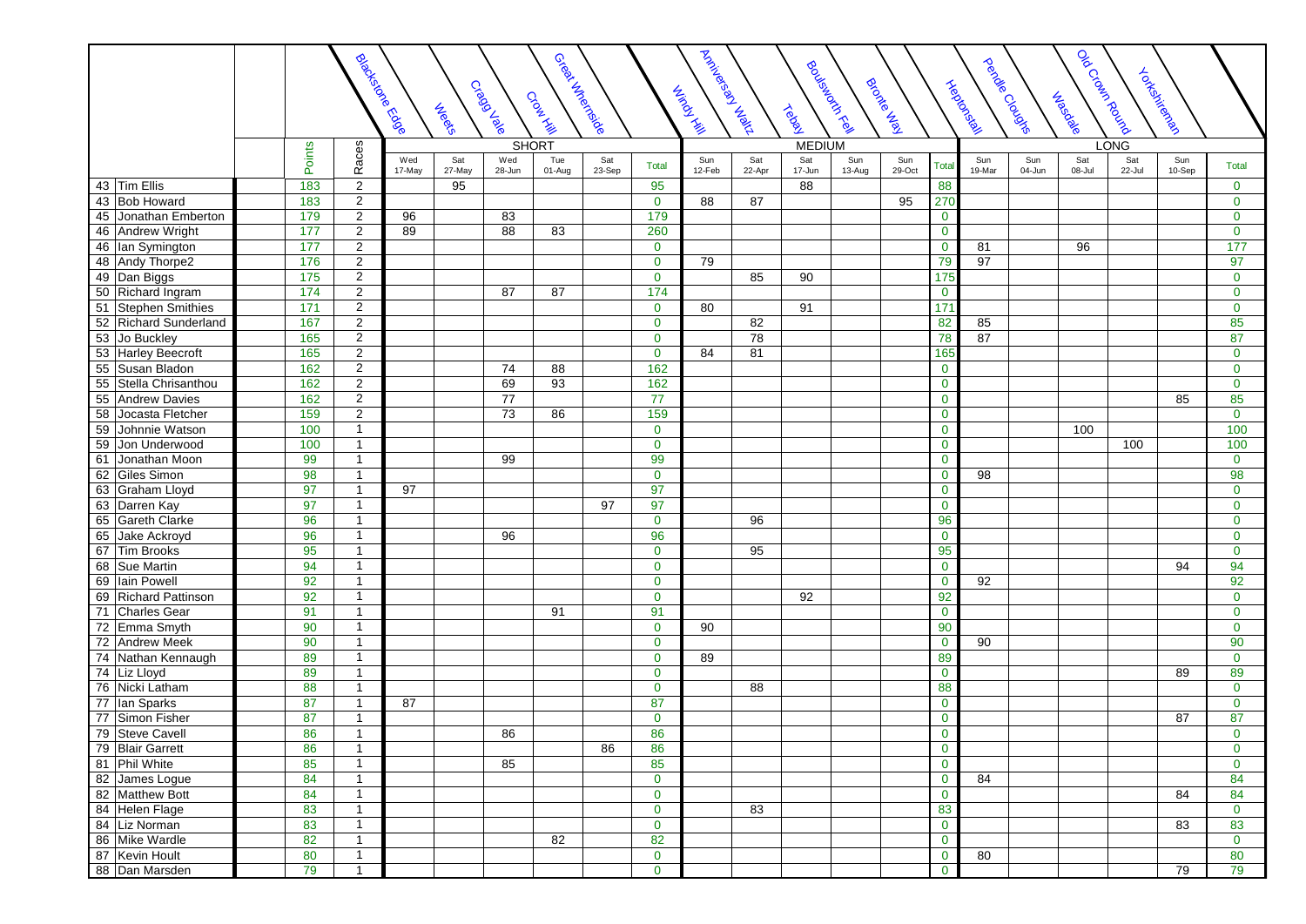|                          |        | Rioche Ebde                    |               | <b>Needer</b> | Cragalale       | Great Hyderceide<br>Croak Kill |               |                  | I Architectory Railway<br><b>Windows</b> |               | <b>Teady</b>  | Router Reel   | Brocked       |                               | <b>Heck</b> edoka | perchange Clouse | l olo Croan Rousia<br>Jubedale |               | Tokokokoko    |                |
|--------------------------|--------|--------------------------------|---------------|---------------|-----------------|--------------------------------|---------------|------------------|------------------------------------------|---------------|---------------|---------------|---------------|-------------------------------|-------------------|------------------|--------------------------------|---------------|---------------|----------------|
|                          |        |                                |               |               | <b>SHORT</b>    |                                |               |                  |                                          |               | <b>MEDIUM</b> |               |               |                               |                   |                  |                                | <b>LONG</b>   |               |                |
|                          | Points | Races                          | Wed<br>17-May | Sat<br>27-May | Wed<br>28-Jun   | Tue<br>01-Aug                  | Sat<br>23-Sep | Total            | Sun<br>12-Feb                            | Sat<br>22-Apr | Sat<br>17-Jun | Sun<br>13-Aug | Sun<br>29-Oct | Total                         | Sun<br>19-Mar     | Sun<br>04-Jun    | Sat<br>08-Jul                  | Sat<br>22-Jul | Sun<br>10-Sep | <b>Total</b>   |
| 43 Tim Ellis             | 183    | $\overline{2}$                 |               | 95            |                 |                                |               | 95               |                                          |               | 88            |               |               | 88                            |                   |                  |                                |               |               | $\mathbf{0}$   |
| 43 Bob Howard            | 183    | $\overline{2}$                 |               |               |                 |                                |               | $\mathbf{0}$     | 88                                       | 87            |               |               | 95            | 270                           |                   |                  |                                |               |               | $\mathbf{0}$   |
| 45<br>Jonathan Emberton  | 179    | $\overline{2}$                 | 96            |               | 83              |                                |               | 179              |                                          |               |               |               |               | $\mathbf{0}$                  |                   |                  |                                |               |               | $\mathbf{0}$   |
| 46 Andrew Wright         | 177    | $\overline{2}$                 | 89            |               | 88              | 83                             |               | 260              |                                          |               |               |               |               | $\mathbf 0$                   |                   |                  |                                |               |               | $\mathbf 0$    |
| 46   Ian Symington       | 177    | 2                              |               |               |                 |                                |               | $\mathbf{0}$     |                                          |               |               |               |               | $\mathbf 0$                   | 81                |                  | 96                             |               |               | 177            |
| 48 Andy Thorpe2          | 176    | 2                              |               |               |                 |                                |               | $\mathbf{0}$     | 79                                       |               |               |               |               | 79                            | 97                |                  |                                |               |               | 97             |
| 49 Dan Biggs             | 175    | $\overline{2}$                 |               |               |                 |                                |               | $\mathbf{0}$     |                                          | 85            | 90            |               |               | 175                           |                   |                  |                                |               |               | $\mathbf{0}$   |
| 50 Richard Ingram        | 174    | $\overline{2}$                 |               |               | 87              | 87                             |               | $\overline{174}$ |                                          |               |               |               |               | $\mathbf 0$                   |                   |                  |                                |               |               | $\mathbf{0}$   |
| 51 Stephen Smithies      | 171    | $\overline{2}$                 |               |               |                 |                                |               | $\mathbf{0}$     | 80                                       |               | 91            |               |               | $\overline{171}$              |                   |                  |                                |               |               | $\mathbf{0}$   |
| 52 Richard Sunderland    | 167    | $\overline{2}$                 |               |               |                 |                                |               | $\mathbf{0}$     |                                          | 82            |               |               |               | 82                            | 85                |                  |                                |               |               | 85             |
| 53 Jo Buckley            | 165    | $\overline{c}$                 |               |               |                 |                                |               | $\mathbf 0$      |                                          | 78            |               |               |               | 78                            | 87                |                  |                                |               |               | 87             |
| 53 Harley Beecroft       | 165    | $\overline{c}$                 |               |               |                 |                                |               | $\mathbf 0$      | 84                                       | 81            |               |               |               | 165                           |                   |                  |                                |               |               | $\mathbf 0$    |
| Susan Bladon<br>55       | 162    | $\overline{2}$                 |               |               | 74              | 88                             |               | 162              |                                          |               |               |               |               | $\mathbf 0$                   |                   |                  |                                |               |               | $\overline{0}$ |
| 55<br>Stella Chrisanthou | 162    | $\overline{2}$                 |               |               | 69              | 93                             |               | 162              |                                          |               |               |               |               | $\mathbf 0$                   |                   |                  |                                |               |               | $\mathbf{0}$   |
| 55 Andrew Davies         | 162    | $\overline{2}$                 |               |               | $\overline{77}$ |                                |               | 77               |                                          |               |               |               |               | $\mathbf 0$                   |                   |                  |                                |               | 85            | 85             |
| Jocasta Fletcher<br>58   | 159    | $\overline{c}$                 |               |               | 73              | 86                             |               | 159              |                                          |               |               |               |               | $\mathbf 0$                   |                   |                  |                                |               |               | $\mathbf{0}$   |
| 59<br>Johnnie Watson     | 100    | $\overline{1}$                 |               |               |                 |                                |               | $\mathbf{0}$     |                                          |               |               |               |               | $\mathbf 0$                   |                   |                  | 100                            |               |               | 100            |
| 59 Jon Underwood         | 100    | $\overline{1}$                 |               |               |                 |                                |               | $\mathbf{0}$     |                                          |               |               |               |               | $\mathbf 0$                   |                   |                  |                                | 100           |               | 100            |
| 61<br>Jonathan Moon      | 99     | $\mathbf{1}$                   |               |               | 99              |                                |               | 99               |                                          |               |               |               |               | $\mathbf 0$                   |                   |                  |                                |               |               | $\mathbf{0}$   |
| 62 Giles Simon           | 98     | $\overline{1}$                 |               |               |                 |                                |               | $\mathbf{0}$     |                                          |               |               |               |               | $\bf{0}$                      | 98                |                  |                                |               |               | 98             |
| 63 Graham Lloyd          | 97     | $\overline{1}$                 | 97            |               |                 |                                |               | 97               |                                          |               |               |               |               | $\mathbf 0$                   |                   |                  |                                |               |               | $\mathbf{0}$   |
| 63 Darren Kay            | 97     | $\mathbf{1}$                   |               |               |                 |                                | 97            | 97               |                                          |               |               |               |               | $\mathbf 0$                   |                   |                  |                                |               |               | $\mathbf{0}$   |
| 65 Gareth Clarke         | 96     | $\overline{1}$                 |               |               |                 |                                |               | $\mathbf{0}$     |                                          | 96            |               |               |               | 96                            |                   |                  |                                |               |               | $\mathbf 0$    |
| Jake Ackroyd<br>65       | 96     | $\overline{1}$                 |               |               | 96              |                                |               | 96               |                                          |               |               |               |               | $\mathbf 0$                   |                   |                  |                                |               |               | $\overline{0}$ |
| 67<br>Tim Brooks         | 95     | $\overline{1}$                 |               |               |                 |                                |               | $\mathbf{0}$     |                                          | 95            |               |               |               | 95                            |                   |                  |                                |               |               | $\mathbf{0}$   |
| 68 Sue Martin            | 94     | $\mathbf{1}$                   |               |               |                 |                                |               | $\pmb{0}$        |                                          |               |               |               |               | $\mathbf 0$                   |                   |                  |                                |               | 94            | 94             |
| 69 Iain Powell           | 92     | $\overline{1}$                 |               |               |                 |                                |               | $\pmb{0}$        |                                          |               |               |               |               | $\mathbf 0$                   | 92                |                  |                                |               |               | 92             |
| 69 Richard Pattinson     | 92     | $\overline{1}$                 |               |               |                 |                                |               | $\mathbf 0$      |                                          |               | 92            |               |               | 92                            |                   |                  |                                |               |               | $\mathbf{0}$   |
| 71 Charles Gear          | 91     | $\overline{1}$                 |               |               |                 | 91                             |               | 91               |                                          |               |               |               |               | $\mathbf 0$                   |                   |                  |                                |               |               | $\mathbf{0}$   |
| 72 Emma Smyth            | 90     | $\mathbf{1}$                   |               |               |                 |                                |               | $\mathbf 0$      | 90                                       |               |               |               |               | 90                            |                   |                  |                                |               |               | $\mathbf{0}$   |
| <b>Andrew Meek</b><br>72 | 90     | $\overline{1}$                 |               |               |                 |                                |               | $\mathbf 0$      |                                          |               |               |               |               | $\mathbf{0}$                  | 90                |                  |                                |               |               | 90             |
| 74 Nathan Kennaugh       | 89     | $\overline{1}$                 |               |               |                 |                                |               | $\mathbf{0}$     | 89                                       |               |               |               |               | 89                            |                   |                  |                                |               |               | $\mathbf 0$    |
| 74 Liz Lloyd             | 89     | $\mathbf{1}$                   |               |               |                 |                                |               | $\mathbf 0$      |                                          |               |               |               |               | $\mathbf 0$                   |                   |                  |                                |               | 89            | 89             |
| 76 Nicki Latham          | 88     | $\mathbf{1}$                   |               |               |                 |                                |               | $\mathbf 0$      |                                          | 88            |               |               |               | 88                            |                   |                  |                                |               |               | $\mathbf 0$    |
| 77 Ian Sparks            | 87     | $\overline{1}$                 | 87            |               |                 |                                |               | 87               |                                          |               |               |               |               | $\mathbf 0$                   |                   |                  |                                |               |               | $\mathbf{0}$   |
| 77 Simon Fisher          | 87     | $\mathbf{1}$                   |               |               |                 |                                |               | $\mathbf{0}$     |                                          |               |               |               |               | $\mathbf 0$                   |                   |                  |                                |               | 87            | 87             |
| 79 Steve Cavell          | 86     | $\mathbf{1}$                   |               |               | 86              |                                |               | 86               |                                          |               |               |               |               | $\mathbf 0$                   |                   |                  |                                |               |               | $\mathbf{0}$   |
| 79 Blair Garrett         | 86     | $\overline{1}$                 |               |               |                 |                                | 86            | 86               |                                          |               |               |               |               |                               |                   |                  |                                |               |               | $\mathbf 0$    |
| 81 Phil White            | 85     | $\overline{1}$                 |               |               | 85              |                                |               | 85               |                                          |               |               |               |               | $\mathbf 0$<br>$\overline{0}$ |                   |                  |                                |               |               | $\mathbf 0$    |
| 82 James Logue           | 84     | $\overline{1}$                 |               |               |                 |                                |               | $\mathbf{0}$     |                                          |               |               |               |               | $\mathbf 0$                   | 84                |                  |                                |               |               | 84             |
| 82 Matthew Bott          | 84     |                                |               |               |                 |                                |               | $\mathbf 0$      |                                          |               |               |               |               | $\pmb{0}$                     |                   |                  |                                |               | 84            | 84             |
|                          |        | $\overline{1}$                 |               |               |                 |                                |               |                  |                                          |               |               |               |               |                               |                   |                  |                                |               |               |                |
| 84 Helen Flage           | 83     | $\overline{1}$<br>$\mathbf{1}$ |               |               |                 |                                |               | $\mathbf{0}$     |                                          | 83            |               |               |               | 83                            |                   |                  |                                |               |               | $\mathbf 0$    |
| 84 Liz Norman            | 83     |                                |               |               |                 |                                |               | $\mathbf 0$      |                                          |               |               |               |               | $\mathbf 0$                   |                   |                  |                                |               | 83            | 83             |
| 86 Mike Wardle           | 82     | $\overline{1}$                 |               |               |                 | 82                             |               | 82               |                                          |               |               |               |               | $\mathbf 0$                   |                   |                  |                                |               |               | $\mathbf 0$    |
| 87 Kevin Hoult           | 80     | $\overline{1}$                 |               |               |                 |                                |               | $\mathbf 0$      |                                          |               |               |               |               | $\mathbf 0$                   | 80                |                  |                                |               |               | 80             |
| 88 Dan Marsden           | 79     | $\mathbf{1}$                   |               |               |                 |                                |               | $\mathbf{0}$     |                                          |               |               |               |               | $\mathbf{0}$                  |                   |                  |                                |               | 79            | 79             |